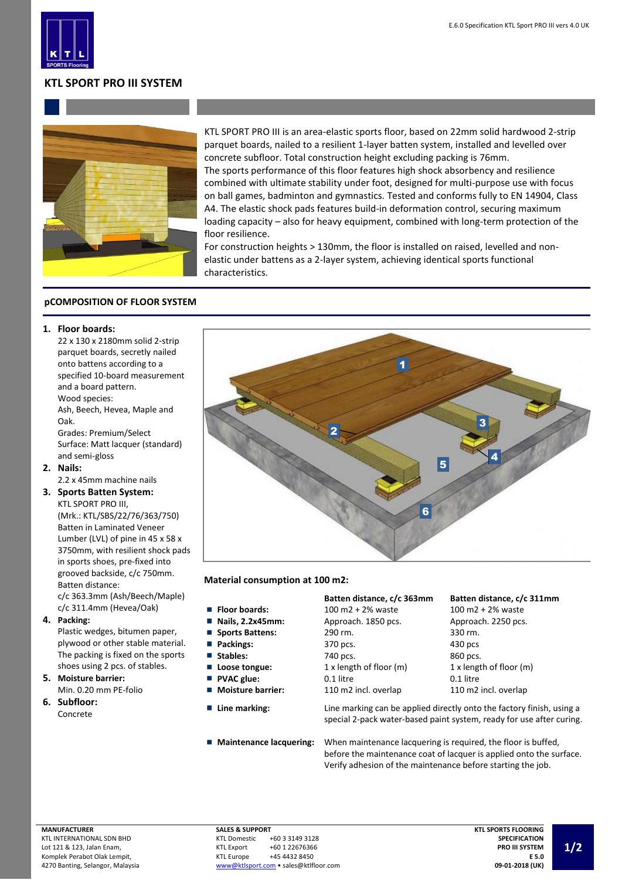

# **KTL SPORT PRO III SYSTEM**



KTL SPORT PRO III is an area-elastic sports floor, based on 22mm solid hardwood 2-strip parquet boards, nailed to a resilient 1-layer batten system, installed and levelled over concrete subfloor. Total construction height excluding packing is 76mm. The sports performance of this floor features high shock absorbency and resilience combined with ultimate stability under foot, designed for multi-purpose use with focus on ball games, badminton and gymnastics. Tested and conforms fully to EN 14904, Class A4. The elastic shock pads features build-in deformation control, securing maximum loading capacity – also for heavy equipment, combined with long-term protection of the floor resilience.

For construction heights > 130mm, the floor is installed on raised, levelled and nonelastic under battens as a 2-layer system, achieving identical sports functional characteristics.

## **pCOMPOSITION OF FLOOR SYSTEM**

## **1. Floor boards:**

22 x 130 x 2180mm solid 2-strip parquet boards, secretly nailed onto battens according to a specified 10-board measurement and a board pattern. Wood species:

Ash, Beech, Hevea, Maple and Oak.

Grades: Premium/Select Surface: Matt lacquer (standard) and semi-gloss

**2. Nails:**

2.2 x 45mm machine nails

### **3. Sports Batten System:** KTL SPORT PRO III,

(Mrk.: KTL/SBS/22/76/363/750) Batten in Laminated Veneer Lumber (LVL) of pine in 45 x 58 x 3750mm, with resilient shock pads in sports shoes, pre-fixed into grooved backside, c/c 750mm. Batten distance:

c/c 363.3mm (Ash/Beech/Maple) c/c 311.4mm (Hevea/Oak)

**4. Packing:**

Plastic wedges, bitumen paper, plywood or other stable material. The packing is fixed on the sports shoes using 2 pcs. of stables.

**5. Moisture barrier:** Min. 0.20 mm PE-folio

**6. Subfloor:** Concrete



### **Material consumption at 100 m2:**

- 
- $\blacksquare$
- Ē,
- 
- 
- 
- 
- 
- 

## **Batten distance, c/c 363mm Batten distance, c/c 311mm**

| <b>Floor boards:</b>            | 100 m2 + 2% waste       | $100 \text{ m}2 + 2\%$ waste |
|---------------------------------|-------------------------|------------------------------|
| $\blacksquare$ Nails, 2.2x45mm: | Approach. 1850 pcs.     | Approach. 2250 pcs.          |
| Sports Battens:                 | 290 rm.                 | 330 rm.                      |
| Packings:                       | 370 pcs.                | 430 pcs                      |
| Stables:                        | 740 pcs.                | 860 pcs.                     |
| ■ Loose tongue:                 | 1 x length of floor (m) | 1 x length of floor (m)      |
| ■ PVAC glue:                    | 0.1 litre               | 0.1 litre                    |
| <b>Noisture barrier:</b>        | 110 m2 incl. overlap    | 110 m2 incl. overlap         |

**Line marking:** Line marking can be applied directly onto the factory finish, using a special 2-pack water-based paint system, ready for use after curing.

**Maintenance lacquering:** When maintenance lacquering is required, the floor is buffed, before the maintenance coat of lacquer is applied onto the surface. Verify adhesion of the maintenance before starting the job.